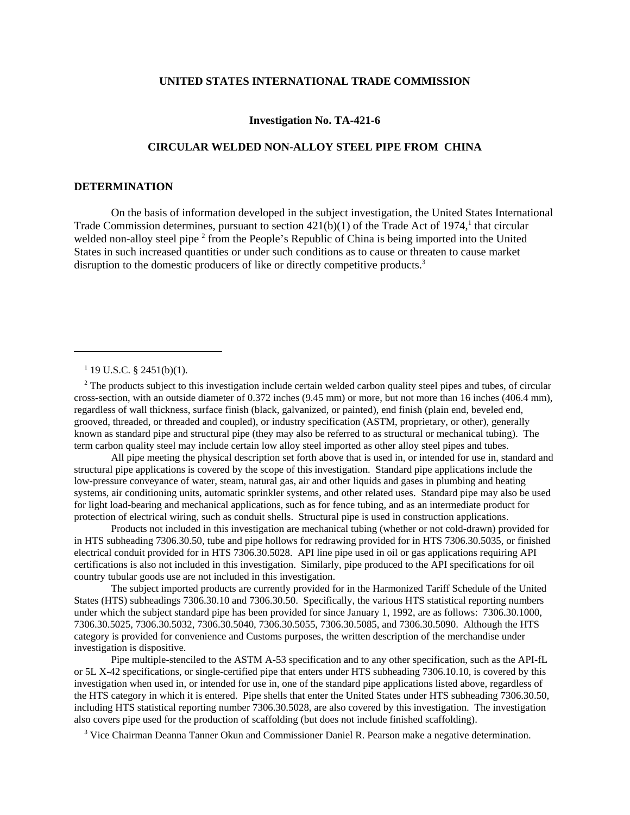### **UNITED STATES INTERNATIONAL TRADE COMMISSION**

## **Investigation No. TA-421-6**

# **CIRCULAR WELDED NON-ALLOY STEEL PIPE FROM CHINA**

### **DETERMINATION**

On the basis of information developed in the subject investigation, the United States International Trade Commission determines, pursuant to section  $421(b)(1)$  of the Trade Act of 1974,<sup>1</sup> that circular welded non-alloy steel pipe<sup>2</sup> from the People's Republic of China is being imported into the United States in such increased quantities or under such conditions as to cause or threaten to cause market disruption to the domestic producers of like or directly competitive products.<sup>3</sup>

<sup>2</sup> The products subject to this investigation include certain welded carbon quality steel pipes and tubes, of circular cross-section, with an outside diameter of 0.372 inches (9.45 mm) or more, but not more than 16 inches (406.4 mm), regardless of wall thickness, surface finish (black, galvanized, or painted), end finish (plain end, beveled end, grooved, threaded, or threaded and coupled), or industry specification (ASTM, proprietary, or other), generally known as standard pipe and structural pipe (they may also be referred to as structural or mechanical tubing). The term carbon quality steel may include certain low alloy steel imported as other alloy steel pipes and tubes.

All pipe meeting the physical description set forth above that is used in, or intended for use in, standard and structural pipe applications is covered by the scope of this investigation. Standard pipe applications include the low-pressure conveyance of water, steam, natural gas, air and other liquids and gases in plumbing and heating systems, air conditioning units, automatic sprinkler systems, and other related uses. Standard pipe may also be used for light load-bearing and mechanical applications, such as for fence tubing, and as an intermediate product for protection of electrical wiring, such as conduit shells. Structural pipe is used in construction applications.

Products not included in this investigation are mechanical tubing (whether or not cold-drawn) provided for in HTS subheading 7306.30.50, tube and pipe hollows for redrawing provided for in HTS 7306.30.5035, or finished electrical conduit provided for in HTS 7306.30.5028. API line pipe used in oil or gas applications requiring API certifications is also not included in this investigation. Similarly, pipe produced to the API specifications for oil country tubular goods use are not included in this investigation.

The subject imported products are currently provided for in the Harmonized Tariff Schedule of the United States (HTS) subheadings 7306.30.10 and 7306.30.50. Specifically, the various HTS statistical reporting numbers under which the subject standard pipe has been provided for since January 1, 1992, are as follows: 7306.30.1000, 7306.30.5025, 7306.30.5032, 7306.30.5040, 7306.30.5055, 7306.30.5085, and 7306.30.5090. Although the HTS category is provided for convenience and Customs purposes, the written description of the merchandise under investigation is dispositive.

Pipe multiple-stenciled to the ASTM A-53 specification and to any other specification, such as the API-fL or 5L X-42 specifications, or single-certified pipe that enters under HTS subheading 7306.10.10, is covered by this investigation when used in, or intended for use in, one of the standard pipe applications listed above, regardless of the HTS category in which it is entered. Pipe shells that enter the United States under HTS subheading 7306.30.50, including HTS statistical reporting number 7306.30.5028, are also covered by this investigation. The investigation also covers pipe used for the production of scaffolding (but does not include finished scaffolding).

<sup>3</sup> Vice Chairman Deanna Tanner Okun and Commissioner Daniel R. Pearson make a negative determination.

 $1$  19 U.S.C. § 2451(b)(1).